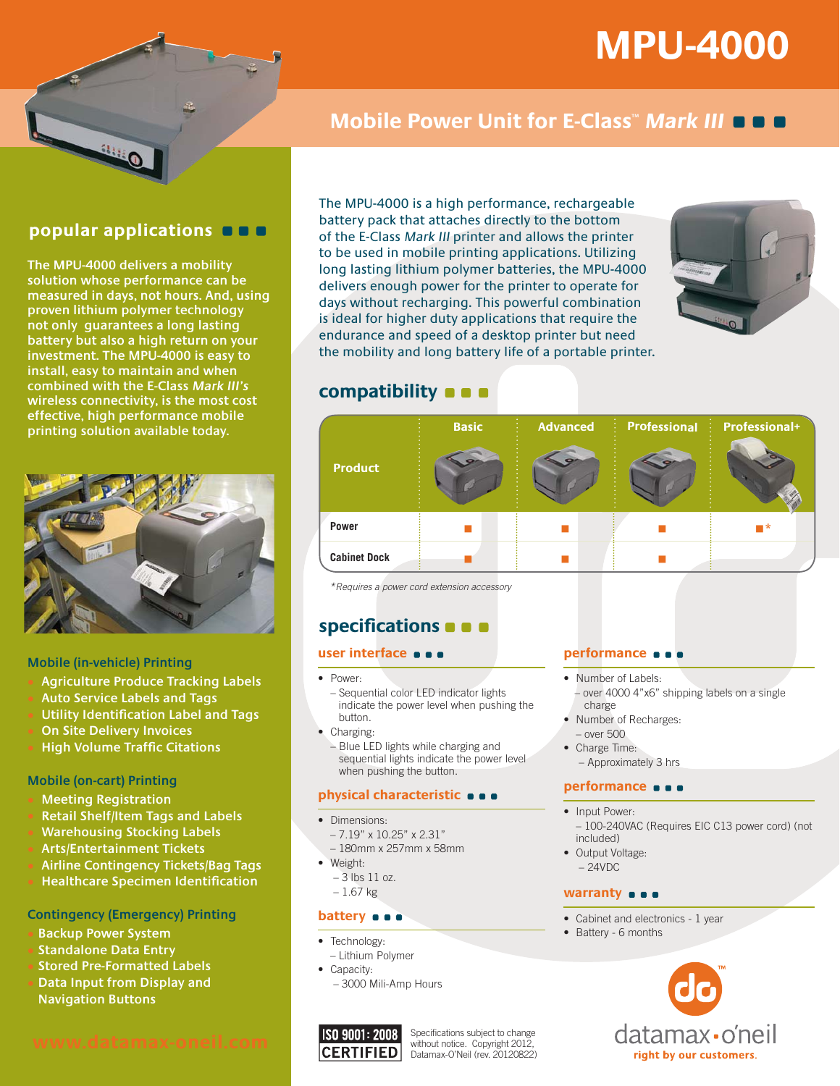# **MPU-4000**



# **Mobile Power Unit for E-Class<sup>"</sup> Mark III OOO**

# **popular applications**

**The MPU-4000 delivers a mobility solution whose performance can be measured in days, not hours. And, using proven lithium polymer technology not only guarantees a long lasting battery but also a high return on your investment. The MPU-4000 is easy to install, easy to maintain and when combined with the E-Class Mark III's wireless connectivity, is the most cost effective, high performance mobile printing solution available today.**



#### **Mobile (in-vehicle) Printing**

- s **Agriculture Produce Tracking Labels**
- s **Auto Service Labels and Tags**
- **Utility Identification Label and Tags**
- **On Site Delivery Invoices**
- **High Volume Traffic Citations**

#### **Mobile (on-cart) Printing**

- **Meeting Registration**
- s **Retail Shelf/Item Tags and Labels**
- **Warehousing Stocking Labels**
- s **Arts/Entertainment Tickets**
- s **Airline Contingency Tickets/Bag Tags**
- s **Healthcare Specimen Identification**

### **Contingency (Emergency) Printing**

- **Backup Power System**
- s**Standalone Data Entry**
- s**Stored Pre-Formatted Labels**
- **Data Input from Display and**
- **Navigation Buttons**

The MPU-4000 is a high performance, rechargeable battery pack that attaches directly to the bottom of the E-Class Mark III printer and allows the printer to be used in mobile printing applications. Utilizing long lasting lithium polymer batteries, the MPU-4000 delivers enough power for the printer to operate for days without recharging. This powerful combination is ideal for higher duty applications that require the endurance and speed of a desktop printer but need the mobility and long battery life of a portable printer.



# **compatibility**



\*Requires a power cord extension accessory

# **specifications**

#### **user interface**

 $\bullet$  Power

– Sequential color LED indicator lights indicate the power level when pushing the button.

- Charging:
	- Blue LED lights while charging and sequential lights indicate the power level when pushing the button.

#### **physical characteristic**

- $\bullet$  Dimensions.
	- 7.19" x 10.25" x 2.31"
	- 180mm x 257mm x 58mm
- $\bullet$  Weight:
	- 3 lbs 11 oz.
	- 1.67 kg

#### **battery**  $\bullet$   $\bullet$

- Technology:
- Lithium Polymer
- Capacity:
- 3000 Mili-Amp Hours



#### Specifications subject to change without notice. Copyright 2012, Datamax-O'Neil (rev. 20120822)

#### **performance**

- Number of Labels: – over 4000 4"x6" shipping labels on a single charge
- Number of Recharges:
- over 500 • Charge Time:
- 
- Approximately 3 hrs

#### **performance**

- Input Power:
- 100-240VAC (Requires EIC C13 power cord) (not included)
- Output Voltage:  $-24VDC$

#### **warranty**  $\bullet$   $\bullet$

- Cabinet and electronics 1 year
- Battery 6 months